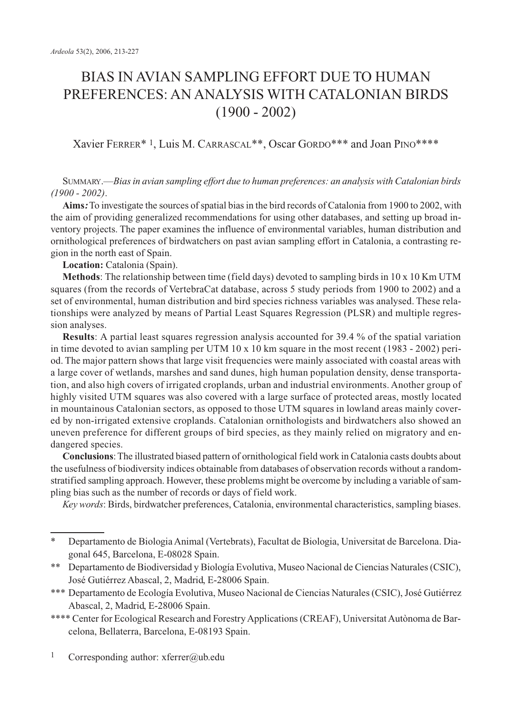# BIAS IN AVIAN SAMPLING EFFORT DUE TO HUMAN PREFERENCES: AN ANALYSIS WITH CATALONIAN BIRDS (1900 - 2002)

## Xavier FERRER\* 1, Luis M. CARRASCAL\*\*, Oscar GORDO\*\*\* and Joan PINO\*\*\*\*

## SUMMARY.—*Bias in avian sampling effort due to human preferences: an analysis with Catalonian birds (1900 - 2002)*.

**Aims:**To investigate the sources of spatial bias in the bird records of Catalonia from 1900 to 2002, with the aim of providing generalized recommendations for using other databases, and setting up broad inventory projects. The paper examines the influence of environmental variables, human distribution and ornithological preferences of birdwatchers on past avian sampling effort in Catalonia, a contrasting region in the north east of Spain.

**Location:** Catalonia (Spain).

**Methods**: The relationship between time (field days) devoted to sampling birds in 10 x 10 Km UTM squares (from the records of VertebraCat database, across 5 study periods from 1900 to 2002) and a set of environmental, human distribution and bird species richness variables was analysed. These relationships were analyzed by means of Partial Least Squares Regression (PLSR) and multiple regression analyses.

**Results**: A partial least squares regression analysis accounted for 39.4 % of the spatial variation in time devoted to avian sampling per UTM 10 x 10 km square in the most recent (1983 - 2002) period. The major pattern shows that large visit frequencies were mainly associated with coastal areas with a large cover of wetlands, marshes and sand dunes, high human population density, dense transportation, and also high covers of irrigated croplands, urban and industrial environments. Another group of highly visited UTM squares was also covered with a large surface of protected areas, mostly located in mountainous Catalonian sectors, as opposed to those UTM squares in lowland areas mainly covered by non-irrigated extensive croplands. Catalonian ornithologists and birdwatchers also showed an uneven preference for different groups of bird species, as they mainly relied on migratory and endangered species.

**Conclusions**:The illustrated biased pattern of ornithological field work in Catalonia casts doubts about the usefulness of biodiversity indices obtainable from databases of observation records without a randomstratified sampling approach. However, these problems might be overcome by including a variable of sampling bias such as the number of records or days of field work.

*Key words*: Birds, birdwatcher preferences, Catalonia, environmental characteristics, sampling biases.

<sup>\*</sup> Departamento de Biologia Animal (Vertebrats), Facultat de Biologia, Universitat de Barcelona. Diagonal 645, Barcelona, E-08028 Spain.

<sup>\*\*</sup> Departamento de Biodiversidad y Biología Evolutiva, Museo Nacional de Ciencias Naturales (CSIC), José Gutiérrez Abascal, 2, Madrid, E-28006 Spain.

<sup>\*\*\*</sup> Departamento de Ecología Evolutiva, Museo Nacional de Ciencias Naturales (CSIC), José Gutiérrez Abascal, 2, Madrid, E-28006 Spain.

<sup>\*\*\*\*</sup> Center for Ecological Research and Forestry Applications (CREAF), Universitat Autònoma de Barcelona, Bellaterra, Barcelona, E-08193 Spain.

<sup>1</sup> Corresponding author: xferrer@ub.edu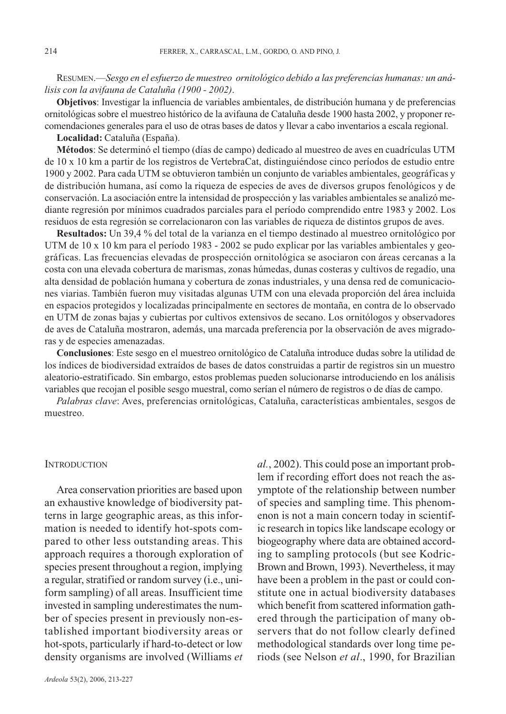RESUMEN.—*Sesgo en el esfuerzo de muestreo ornitológico debido a las preferencias humanas: un análisis con la avifauna de Cataluña (1900 - 2002)*.

**Objetivos**: Investigar la influencia de variables ambientales, de distribución humana y de preferencias ornitológicas sobre el muestreo histórico de la avifauna de Cataluña desde 1900 hasta 2002, y proponer recomendaciones generales para el uso de otras bases de datos y llevar a cabo inventarios a escala regional.

**Localidad:** Cataluña (España).

**Métodos**: Se determinó el tiempo (días de campo) dedicado al muestreo de aves en cuadrículas UTM de 10 x 10 km a partir de los registros de VertebraCat, distinguiéndose cinco períodos de estudio entre 1900 y 2002. Para cada UTM se obtuvieron también un conjunto de variables ambientales, geográficas y de distribución humana, así como la riqueza de especies de aves de diversos grupos fenológicos y de conservación. La asociación entre la intensidad de prospección y las variables ambientales se analizó mediante regresión por mínimos cuadrados parciales para el período comprendido entre 1983 y 2002. Los residuos de esta regresión se correlacionaron con las variables de riqueza de distintos grupos de aves.

**Resultados:** Un 39,4 % del total de la varianza en el tiempo destinado al muestreo ornitológico por UTM de 10 x 10 km para el período 1983 - 2002 se pudo explicar por las variables ambientales y geográficas. Las frecuencias elevadas de prospección ornitológica se asociaron con áreas cercanas a la costa con una elevada cobertura de marismas, zonas húmedas, dunas costeras y cultivos de regadío, una alta densidad de población humana y cobertura de zonas industriales, y una densa red de comunicaciones viarias. También fueron muy visitadas algunas UTM con una elevada proporción del área incluida en espacios protegidos y localizadas principalmente en sectores de montaña, en contra de lo observado en UTM de zonas bajas y cubiertas por cultivos extensivos de secano. Los ornitólogos y observadores de aves de Cataluña mostraron, además, una marcada preferencia por la observación de aves migradoras y de especies amenazadas.

**Conclusiones**: Este sesgo en el muestreo ornitológico de Cataluña introduce dudas sobre la utilidad de los índices de biodiversidad extraídos de bases de datos construidas a partir de registros sin un muestro aleatorio-estratificado. Sin embargo, estos problemas pueden solucionarse introduciendo en los análisis variables que recojan el posible sesgo muestral, como serían el número de registros o de días de campo.

*Palabras clave*: Aves, preferencias ornitológicas, Cataluña, características ambientales, sesgos de muestreo.

#### **INTRODUCTION**

Area conservation priorities are based upon an exhaustive knowledge of biodiversity patterns in large geographic areas, as this information is needed to identify hot-spots compared to other less outstanding areas. This approach requires a thorough exploration of species present throughout a region, implying a regular, stratified or random survey (i.e., uniform sampling) of all areas. Insufficient time invested in sampling underestimates the number of species present in previously non-established important biodiversity areas or hot-spots, particularly if hard-to-detect or low density organisms are involved (Williams *et* *al.*, 2002). This could pose an important problem if recording effort does not reach the asymptote of the relationship between number of species and sampling time. This phenomenon is not a main concern today in scientific research in topics like landscape ecology or biogeography where data are obtained according to sampling protocols (but see Kodric-Brown and Brown, 1993). Nevertheless, it may have been a problem in the past or could constitute one in actual biodiversity databases which benefit from scattered information gathered through the participation of many observers that do not follow clearly defined methodological standards over long time periods (see Nelson *et al*., 1990, for Brazilian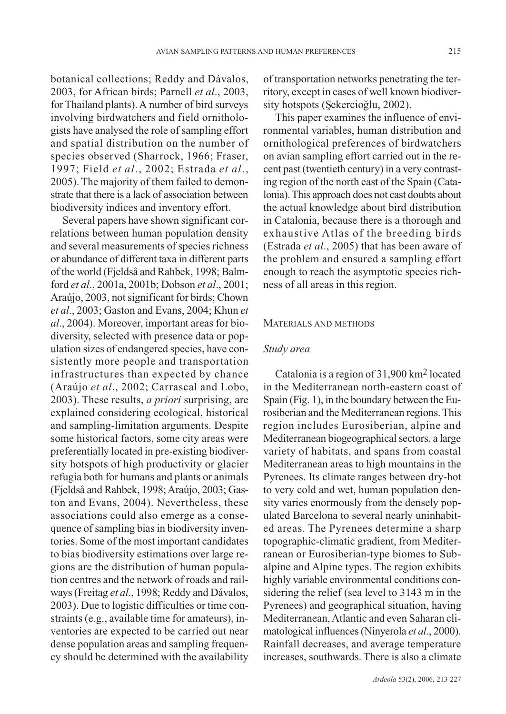botanical collections; Reddy and Dávalos, 2003, for African birds; Parnell *et al*., 2003, for Thailand plants). A number of bird surveys involving birdwatchers and field ornithologists have analysed the role of sampling effort and spatial distribution on the number of species observed (Sharrock, 1966; Fraser, 1997; Field *et al*., 2002; Estrada *et al*., 2005). The majority of them failed to demonstrate that there is a lack of association between biodiversity indices and inventory effort.

Several papers have shown significant correlations between human population density and several measurements of species richness or abundance of different taxa in different parts of the world (Fjeldså and Rahbek, 1998; Balmford *et al*., 2001a, 2001b; Dobson *et al*., 2001; Araújo, 2003, not significant for birds; Chown *et al*., 2003; Gaston and Evans, 2004; Khun *et al*., 2004). Moreover, important areas for biodiversity, selected with presence data or population sizes of endangered species, have consistently more people and transportation infrastructures than expected by chance (Araújo *et al*., 2002; Carrascal and Lobo, 2003). These results, *a priori* surprising, are explained considering ecological, historical and sampling-limitation arguments. Despite some historical factors, some city areas were preferentially located in pre-existing biodiversity hotspots of high productivity or glacier refugia both for humans and plants or animals (Fjeldså and Rahbek, 1998; Araújo, 2003; Gaston and Evans, 2004). Nevertheless, these associations could also emerge as a consequence of sampling bias in biodiversity inventories. Some of the most important candidates to bias biodiversity estimations over large regions are the distribution of human population centres and the network of roads and railways (Freitag *et al*., 1998; Reddy and Dávalos, 2003). Due to logistic difficulties or time constraints (e.g., available time for amateurs), inventories are expected to be carried out near dense population areas and sampling frequency should be determined with the availability of transportation networks penetrating the territory, except in cases of well known biodiversity hotspots (Şekercioğlu, 2002).

This paper examines the influence of environmental variables, human distribution and ornithological preferences of birdwatchers on avian sampling effort carried out in the recent past (twentieth century) in a very contrasting region of the north east of the Spain (Catalonia). This approach does not cast doubts about the actual knowledge about bird distribution in Catalonia, because there is a thorough and exhaustive Atlas of the breeding birds (Estrada *et al*., 2005) that has been aware of the problem and ensured a sampling effort enough to reach the asymptotic species richness of all areas in this region.

#### MATERIALS AND METHODS

#### *Study area*

Catalonia is a region of 31,900 km2 located in the Mediterranean north-eastern coast of Spain (Fig. 1), in the boundary between the Eurosiberian and the Mediterranean regions. This region includes Eurosiberian, alpine and Mediterranean biogeographical sectors, a large variety of habitats, and spans from coastal Mediterranean areas to high mountains in the Pyrenees. Its climate ranges between dry-hot to very cold and wet, human population density varies enormously from the densely populated Barcelona to several nearly uninhabited areas. The Pyrenees determine a sharp topographic-climatic gradient, from Mediterranean or Eurosiberian-type biomes to Subalpine and Alpine types. The region exhibits highly variable environmental conditions considering the relief (sea level to 3143 m in the Pyrenees) and geographical situation, having Mediterranean, Atlantic and even Saharan climatological influences (Ninyerola *et al*., 2000). Rainfall decreases, and average temperature increases, southwards. There is also a climate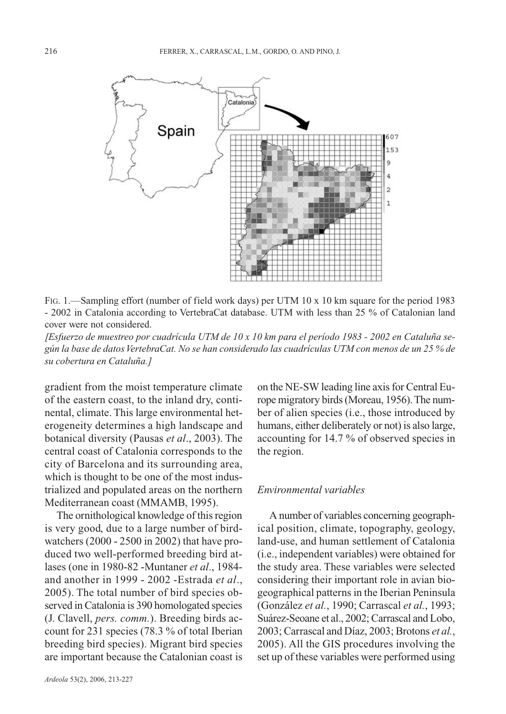

FIG. 1.—Sampling effort (number of field work days) per UTM 10 x 10 km square for the period 1983 - 2002 in Catalonia according to VertebraCat database. UTM with less than 25 % of Catalonian land cover were not considered.

*[Esfuerzo de muestreo por cuadrícula UTM de 10 x 10 km para el período 1983 - 2002 en Cataluña según la base de datos VertebraCat. No se han considerado las cuadrículas UTM con menos de un 25 % de su cobertura en Cataluña.]*

gradient from the moist temperature climate of the eastern coast, to the inland dry, continental, climate. This large environmental heterogeneity determines a high landscape and botanical diversity (Pausas *et al*., 2003). The central coast of Catalonia corresponds to the city of Barcelona and its surrounding area, which is thought to be one of the most industrialized and populated areas on the northern Mediterranean coast (MMAMB, 1995).

The ornithological knowledge of this region is very good, due to a large number of birdwatchers (2000 - 2500 in 2002) that have produced two well-performed breeding bird atlases (one in 1980-82 -Muntaner *et al*., 1984 and another in 1999 - 2002 -Estrada *et al*., 2005). The total number of bird species observed in Catalonia is 390 homologated species (J. Clavell, *pers. comm.*). Breeding birds account for 231 species (78.3 % of total Iberian breeding bird species). Migrant bird species are important because the Catalonian coast is on the NE-SW leading line axis for Central Europe migratory birds (Moreau, 1956). The number of alien species (i.e., those introduced by humans, either deliberately or not) is also large, accounting for 14.7 % of observed species in the region.

## *Environmental variables*

A number of variables concerning geographical position, climate, topography, geology, land-use, and human settlement of Catalonia (i.e., independent variables) were obtained for the study area. These variables were selected considering their important role in avian biogeographical patterns in the Iberian Peninsula (González *et al.*, 1990; Carrascal *et al.*, 1993; Suárez-Seoane et al., 2002; Carrascal and Lobo, 2003; Carrascal and Díaz, 2003; Brotons *et al.*, 2005). All the GIS procedures involving the set up of these variables were performed using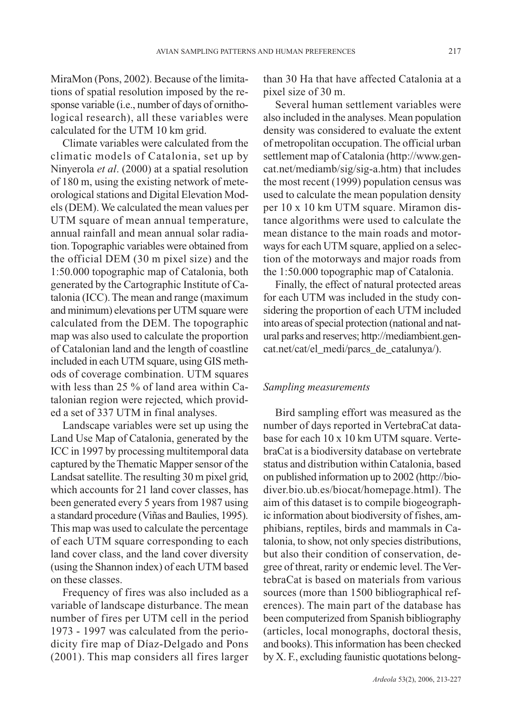MiraMon (Pons, 2002). Because of the limitations of spatial resolution imposed by the response variable (i.e., number of days of ornithological research), all these variables were calculated for the UTM 10 km grid.

Climate variables were calculated from the climatic models of Catalonia, set up by Ninyerola *et al*. (2000) at a spatial resolution of 180 m, using the existing network of meteorological stations and Digital Elevation Models (DEM). We calculated the mean values per UTM square of mean annual temperature, annual rainfall and mean annual solar radiation. Topographic variables were obtained from the official DEM (30 m pixel size) and the 1:50.000 topographic map of Catalonia, both generated by the Cartographic Institute of Catalonia (ICC). The mean and range (maximum and minimum) elevations per UTM square were calculated from the DEM. The topographic map was also used to calculate the proportion of Catalonian land and the length of coastline included in each UTM square, using GIS methods of coverage combination. UTM squares with less than 25 % of land area within Catalonian region were rejected, which provided a set of 337 UTM in final analyses.

Landscape variables were set up using the Land Use Map of Catalonia, generated by the ICC in 1997 by processing multitemporal data captured by the Thematic Mapper sensor of the Landsat satellite. The resulting 30 m pixel grid, which accounts for 21 land cover classes, has been generated every 5 years from 1987 using a standard procedure (Viñas and Baulies, 1995). This map was used to calculate the percentage of each UTM square corresponding to each land cover class, and the land cover diversity (using the Shannon index) of each UTM based on these classes.

Frequency of fires was also included as a variable of landscape disturbance. The mean number of fires per UTM cell in the period 1973 - 1997 was calculated from the periodicity fire map of Díaz-Delgado and Pons (2001). This map considers all fires larger than 30 Ha that have affected Catalonia at a pixel size of 30 m.

Several human settlement variables were also included in the analyses. Mean population density was considered to evaluate the extent of metropolitan occupation. The official urban settlement map of Catalonia (http://www.gencat.net/mediamb/sig/sig-a.htm) that includes the most recent (1999) population census was used to calculate the mean population density per 10 x 10 km UTM square. Miramon distance algorithms were used to calculate the mean distance to the main roads and motorways for each UTM square, applied on a selection of the motorways and major roads from the 1:50.000 topographic map of Catalonia.

Finally, the effect of natural protected areas for each UTM was included in the study considering the proportion of each UTM included into areas of special protection (national and natural parks and reserves; http://mediambient.gencat.net/cat/el\_medi/parcs\_de\_catalunya/).

#### *Sampling measurements*

Bird sampling effort was measured as the number of days reported in VertebraCat database for each 10 x 10 km UTM square. VertebraCat is a biodiversity database on vertebrate status and distribution within Catalonia, based on published information up to 2002 (http://biodiver.bio.ub.es/biocat/homepage.html). The aim of this dataset is to compile biogeographic information about biodiversity of fishes, amphibians, reptiles, birds and mammals in Catalonia, to show, not only species distributions, but also their condition of conservation, degree of threat, rarity or endemic level. The VertebraCat is based on materials from various sources (more than 1500 bibliographical references). The main part of the database has been computerized from Spanish bibliography (articles, local monographs, doctoral thesis, and books). This information has been checked by X. F., excluding faunistic quotations belong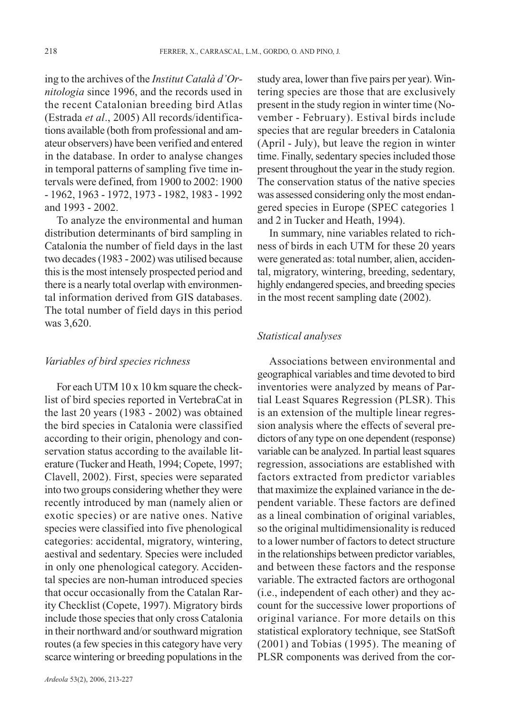ing to the archives of the *Institut Català d'Ornitologia* since 1996, and the records used in the recent Catalonian breeding bird Atlas (Estrada *et al*., 2005) All records/identifications available (both from professional and amateur observers) have been verified and entered in the database. In order to analyse changes in temporal patterns of sampling five time intervals were defined, from 1900 to 2002: 1900 - 1962, 1963 - 1972, 1973 - 1982, 1983 - 1992 and 1993 - 2002.

To analyze the environmental and human distribution determinants of bird sampling in Catalonia the number of field days in the last two decades (1983 - 2002) was utilised because this is the most intensely prospected period and there is a nearly total overlap with environmental information derived from GIS databases. The total number of field days in this period was 3,620.

#### *Variables of bird species richness*

For each UTM 10 x 10 km square the checklist of bird species reported in VertebraCat in the last 20 years (1983 - 2002) was obtained the bird species in Catalonia were classified according to their origin, phenology and conservation status according to the available literature (Tucker and Heath, 1994; Copete, 1997; Clavell, 2002). First, species were separated into two groups considering whether they were recently introduced by man (namely alien or exotic species) or are native ones. Native species were classified into five phenological categories: accidental, migratory, wintering, aestival and sedentary. Species were included in only one phenological category. Accidental species are non-human introduced species that occur occasionally from the Catalan Rarity Checklist (Copete, 1997). Migratory birds include those species that only cross Catalonia in their northward and/or southward migration routes (a few species in this category have very scarce wintering or breeding populations in the

study area, lower than five pairs per year). Wintering species are those that are exclusively present in the study region in winter time (November - February). Estival birds include species that are regular breeders in Catalonia (April - July), but leave the region in winter time. Finally, sedentary species included those present throughout the year in the study region. The conservation status of the native species was assessed considering only the most endangered species in Europe (SPEC categories 1 and 2 in Tucker and Heath, 1994).

In summary, nine variables related to richness of birds in each UTM for these 20 years were generated as: total number, alien, accidental, migratory, wintering, breeding, sedentary, highly endangered species, and breeding species in the most recent sampling date (2002).

## *Statistical analyses*

Associations between environmental and geographical variables and time devoted to bird inventories were analyzed by means of Partial Least Squares Regression (PLSR). This is an extension of the multiple linear regression analysis where the effects of several predictors of any type on one dependent (response) variable can be analyzed. In partial least squares regression, associations are established with factors extracted from predictor variables that maximize the explained variance in the dependent variable. These factors are defined as a lineal combination of original variables, so the original multidimensionality is reduced to a lower number of factors to detect structure in the relationships between predictor variables, and between these factors and the response variable. The extracted factors are orthogonal (i.e., independent of each other) and they account for the successive lower proportions of original variance. For more details on this statistical exploratory technique, see StatSoft (2001) and Tobias (1995). The meaning of PLSR components was derived from the cor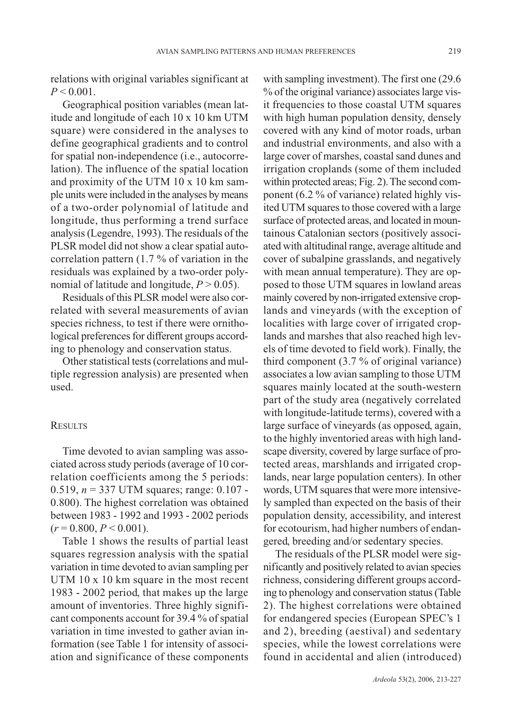relations with original variables significant at  $P < 0.001$ .

Geographical position variables (mean latitude and longitude of each 10 x 10 km UTM square) were considered in the analyses to define geographical gradients and to control for spatial non-independence (i.e., autocorrelation). The influence of the spatial location and proximity of the UTM 10 x 10 km sample units were included in the analyses by means of a two-order polynomial of latitude and longitude, thus performing a trend surface analysis (Legendre, 1993). The residuals of the PLSR model did not show a clear spatial autocorrelation pattern (1.7 % of variation in the residuals was explained by a two-order polynomial of latitude and longitude,  $P > 0.05$ ).

Residuals of this PLSR model were also correlated with several measurements of avian species richness, to test if there were ornithological preferences for different groups according to phenology and conservation status.

Other statistical tests (correlations and multiple regression analysis) are presented when used.

#### **RESULTS**

Time devoted to avian sampling was associated across study periods (average of 10 correlation coefficients among the 5 periods: 0.519, *n* = 337 UTM squares; range: 0.107 - 0.800). The highest correlation was obtained between 1983 - 1992 and 1993 - 2002 periods  $(r = 0.800, P \le 0.001)$ .

Table 1 shows the results of partial least squares regression analysis with the spatial variation in time devoted to avian sampling per UTM 10 x 10 km square in the most recent 1983 - 2002 period, that makes up the large amount of inventories. Three highly significant components account for 39.4 % of spatial variation in time invested to gather avian information (see Table 1 for intensity of association and significance of these components with sampling investment). The first one (29.6 % of the original variance) associates large visit frequencies to those coastal UTM squares with high human population density, densely covered with any kind of motor roads, urban and industrial environments, and also with a large cover of marshes, coastal sand dunes and irrigation croplands (some of them included within protected areas; Fig. 2). The second component (6.2 % of variance) related highly visited UTM squares to those covered with a large surface of protected areas, and located in mountainous Catalonian sectors (positively associated with altitudinal range, average altitude and cover of subalpine grasslands, and negatively with mean annual temperature). They are opposed to those UTM squares in lowland areas mainly covered by non-irrigated extensive croplands and vineyards (with the exception of localities with large cover of irrigated croplands and marshes that also reached high levels of time devoted to field work). Finally, the third component (3.7 % of original variance) associates a low avian sampling to those UTM squares mainly located at the south-western part of the study area (negatively correlated with longitude-latitude terms), covered with a large surface of vineyards (as opposed, again, to the highly inventoried areas with high landscape diversity, covered by large surface of protected areas, marshlands and irrigated croplands, near large population centers). In other words, UTM squares that were more intensively sampled than expected on the basis of their population density, accessibility, and interest for ecotourism, had higher numbers of endangered, breeding and/or sedentary species.

The residuals of the PLSR model were significantly and positively related to avian species richness, considering different groups according to phenology and conservation status (Table 2). The highest correlations were obtained for endangered species (European SPEC's 1 and 2), breeding (aestival) and sedentary species, while the lowest correlations were found in accidental and alien (introduced)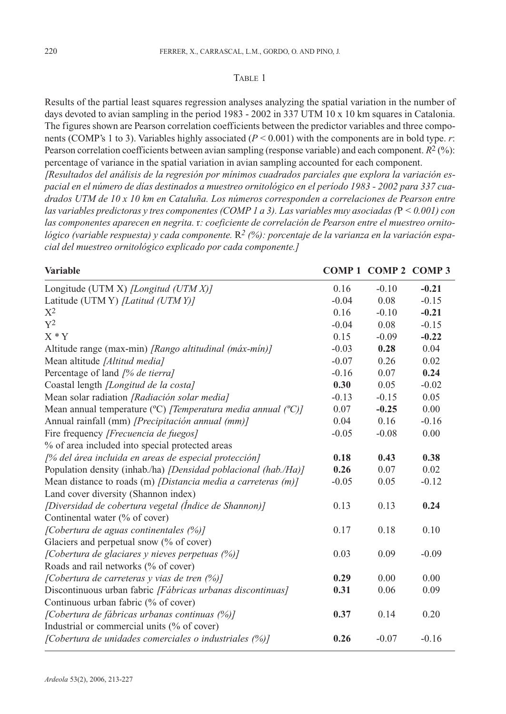#### TABLE 1

Results of the partial least squares regression analyses analyzing the spatial variation in the number of days devoted to avian sampling in the period 1983 - 2002 in 337 UTM 10 x 10 km squares in Catalonia. The figures shown are Pearson correlation coefficients between the predictor variables and three components (COMP's 1 to 3). Variables highly associated ( $P < 0.001$ ) with the components are in bold type. *r*: Pearson correlation coefficients between avian sampling (response variable) and each component. *R*2 (%): percentage of variance in the spatial variation in avian sampling accounted for each component.

*[Resultados del análisis de la regresión por mínimos cuadrados parciales que explora la variación espacial en el número de días destinados a muestreo ornitológico en el período 1983 - 2002 para 337 cuadrados UTM de 10 x 10 km en Cataluña. Los números corresponden a correlaciones de Pearson entre las variables predictoras y tres componentes (COMP 1 a 3). Las variables muy asociadas (*P *< 0.001) con las componentes aparecen en negrita.* r*: coeficiente de correlación de Pearson entre el muestreo ornitológico (variable respuesta) y cada componente.* R*2 (%): porcentaje de la varianza en la variación espacial del muestreo ornitológico explicado por cada componente.]*

| Variable                                                                          |         | COMP 1 COMP 2 COMP 3 |         |
|-----------------------------------------------------------------------------------|---------|----------------------|---------|
| Longitude (UTM X) [Longitud (UTM X)]                                              | 0.16    | $-0.10$              | $-0.21$ |
| Latitude (UTM Y) [Latitud (UTM Y)]                                                | $-0.04$ | 0.08                 | $-0.15$ |
| $X^2$                                                                             | 0.16    | $-0.10$              | $-0.21$ |
| $Y^2$                                                                             | $-0.04$ | 0.08                 | $-0.15$ |
| $X * Y$                                                                           | 0.15    | $-0.09$              | $-0.22$ |
| Altitude range (max-min) [Rango altitudinal (máx-mín)]                            | $-0.03$ | 0.28                 | 0.04    |
| Mean altitude [Altitud media]                                                     | $-0.07$ | 0.26                 | 0.02    |
| Percentage of land [% de tierra]                                                  | $-0.16$ | 0.07                 | 0.24    |
| Coastal length <i>[Longitud de la costa]</i>                                      | 0.30    | 0.05                 | $-0.02$ |
| Mean solar radiation [Radiación solar media]                                      | $-0.13$ | $-0.15$              | 0.05    |
| Mean annual temperature (°C) [Temperatura media annual (°C)]                      | 0.07    | $-0.25$              | 0.00    |
| Annual rainfall (mm) [Precipitación annual (mm)]                                  | 0.04    | 0.16                 | $-0.16$ |
| Fire frequency [Frecuencia de fuegos]                                             | $-0.05$ | $-0.08$              | 0.00    |
| % of area included into special protected areas                                   |         |                      |         |
| [% del área incluida en areas de especial protección]                             | 0.18    | 0.43                 | 0.38    |
| Population density (inhab./ha) [Densidad poblacional (hab./Ha)]                   | 0.26    | 0.07                 | 0.02    |
| Mean distance to roads (m) <i>[Distancia media a carreteras <math>(m)</math>]</i> | $-0.05$ | 0.05                 | $-0.12$ |
| Land cover diversity (Shannon index)                                              |         |                      |         |
| [Diversidad de cobertura vegetal (Índice de Shannon)]                             | 0.13    | 0.13                 | 0.24    |
| Continental water (% of cover)                                                    |         |                      |         |
| [Cobertura de aguas continentales (%)]                                            | 0.17    | 0.18                 | 0.10    |
| Glaciers and perpetual snow (% of cover)                                          |         |                      |         |
| [Cobertura de glaciares y nieves perpetuas (%)]                                   | 0.03    | 0.09                 | $-0.09$ |
| Roads and rail networks (% of cover)                                              |         |                      |         |
| [Cobertura de carreteras y vias de tren (%)]                                      | 0.29    | 0.00                 | 0.00    |
| Discontinuous urban fabric [Fábricas urbanas discontinuas]                        | 0.31    | 0.06                 | 0.09    |
| Continuous urban fabric (% of cover)                                              |         |                      |         |
| [Cobertura de fábricas urbanas continuas (%)]                                     | 0.37    | 0.14                 | 0.20    |
| Industrial or commercial units (% of cover)                                       |         |                      |         |
| [Cobertura de unidades comerciales o industriales (%)]                            | 0.26    | $-0.07$              | $-0.16$ |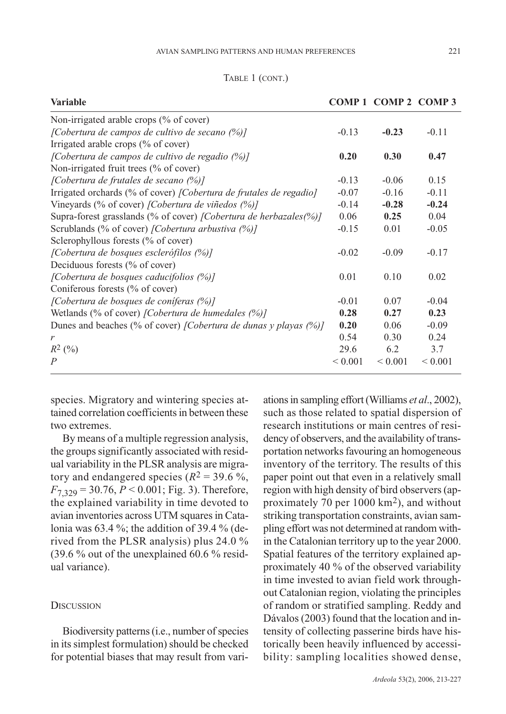|  | TABLE 1 (CONT.) |
|--|-----------------|
|--|-----------------|

| <b>Variable</b>                                                          |              | COMP 1 COMP 2 COMP 3 |              |
|--------------------------------------------------------------------------|--------------|----------------------|--------------|
| Non-irrigated arable crops $(\%$ of cover)                               |              |                      |              |
| [Cobertura de campos de cultivo de secano $(\%)$ ]                       | $-0.13$      | $-0.23$              | $-0.11$      |
| Irrigated arable crops (% of cover)                                      |              |                      |              |
| [Cobertura de campos de cultivo de regadio (%)]                          | 0.20         | 0.30                 | 0.47         |
| Non-irrigated fruit trees (% of cover)                                   |              |                      |              |
| [Cobertura de frutales de secano $(\%)$ ]                                | $-0.13$      | $-0.06$              | 0.15         |
| Irrigated orchards (% of cover) [Cobertura de frutales de regadio]       | $-0.07$      | $-0.16$              | $-0.11$      |
| Vineyards (% of cover) [Cobertura de viñedos (%)]                        | $-0.14$      | $-0.28$              | $-0.24$      |
| Supra-forest grasslands (% of cover) <i>[Cobertura de herbazales(%)]</i> | 0.06         | 0.25                 | 0.04         |
| Scrublands (% of cover) [Cobertura arbustiva (%)]                        | $-0.15$      | 0.01                 | $-0.05$      |
| Sclerophyllous forests (% of cover)                                      |              |                      |              |
| [Cobertura de bosques esclerófilos (%)]                                  | $-0.02$      | $-0.09$              | $-0.17$      |
| Deciduous forests (% of cover)                                           |              |                      |              |
| [Cobertura de bosques caducifolios (%)]                                  | 0.01         | 0.10                 | 0.02         |
| Coniferous forests (% of cover)                                          |              |                      |              |
| [Cobertura de bosques de coníferas (%)]                                  | $-0.01$      | 0.07                 | $-0.04$      |
| Wetlands (% of cover) [Cobertura de humedales $(\%)$ ]                   | 0.28         | 0.27                 | 0.23         |
| Dunes and beaches (% of cover) [Cobertura de dunas y playas (%)]         | 0.20         | 0.06                 | $-0.09$      |
| r                                                                        | 0.54         | 0.30                 | 0.24         |
| $R^2(%)$                                                                 | 29.6         | 6.2                  | 3.7          |
| $\overline{P}$                                                           | ${}_{0.001}$ | ${}< 0.001$          | ${}_{0.001}$ |
|                                                                          |              |                      |              |

species. Migratory and wintering species attained correlation coefficients in between these two extremes.

By means of a multiple regression analysis, the groups significantly associated with residual variability in the PLSR analysis are migratory and endangered species  $(R^2 = 39.6\%$ ,  $F_{7,329} = 30.76, P \le 0.001$ ; Fig. 3). Therefore, the explained variability in time devoted to avian inventories across UTM squares in Catalonia was 63.4 %; the addition of 39.4 % (derived from the PLSR analysis) plus 24.0 % (39.6 % out of the unexplained 60.6 % residual variance).

### **DISCUSSION**

Biodiversity patterns (i.e., number of species in its simplest formulation) should be checked for potential biases that may result from variations in sampling effort (Williams *et al*., 2002), such as those related to spatial dispersion of research institutions or main centres of residency of observers, and the availability of transportation networks favouring an homogeneous inventory of the territory. The results of this paper point out that even in a relatively small region with high density of bird observers (approximately 70 per 1000 km2), and without striking transportation constraints, avian sampling effort was not determined at random within the Catalonian territory up to the year 2000. Spatial features of the territory explained approximately 40 % of the observed variability in time invested to avian field work throughout Catalonian region, violating the principles of random or stratified sampling. Reddy and Dávalos (2003) found that the location and intensity of collecting passerine birds have historically been heavily influenced by accessibility: sampling localities showed dense,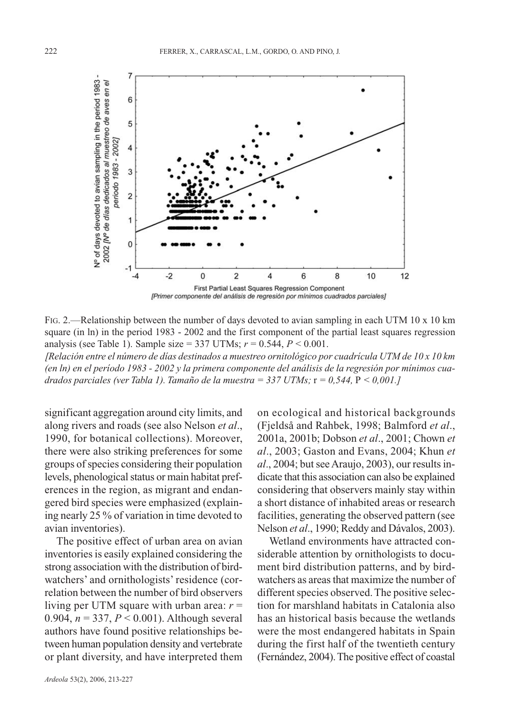

FIG. 2.—Relationship between the number of days devoted to avian sampling in each UTM 10 x 10 km square (in ln) in the period 1983 - 2002 and the first component of the partial least squares regression analysis (see Table 1). Sample size = 337 UTMs; *r* = 0.544, *P* < 0.001.

*[Relación entre el número de días destinados a muestreo ornitológico por cuadrícula UTM de 10 x 10 km (en ln) en el período 1983 - 2002 y la primera componente del análisis de la regresión por mínimos cuadrados parciales (ver Tabla 1). Tamaño de la muestra = 337 UTMs;* r *= 0,544,* P *< 0,001.]*

significant aggregation around city limits, and along rivers and roads (see also Nelson *et al*., 1990, for botanical collections). Moreover, there were also striking preferences for some groups of species considering their population levels, phenological status or main habitat preferences in the region, as migrant and endangered bird species were emphasized (explaining nearly 25 % of variation in time devoted to avian inventories).

The positive effect of urban area on avian inventories is easily explained considering the strong association with the distribution of birdwatchers' and ornithologists' residence (correlation between the number of bird observers living per UTM square with urban area: *r* = 0.904, *n* = 337, *P* < 0.001). Although several authors have found positive relationships between human population density and vertebrate or plant diversity, and have interpreted them

*Ardeola* 53(2), 2006, 213-227

on ecological and historical backgrounds (Fjeldså and Rahbek, 1998; Balmford *et al*., 2001a, 2001b; Dobson *et al*., 2001; Chown *et al*., 2003; Gaston and Evans, 2004; Khun *et al*., 2004; but see Araujo, 2003), our results indicate that this association can also be explained considering that observers mainly stay within a short distance of inhabited areas or research facilities, generating the observed pattern (see Nelson *et al*., 1990; Reddy and Dávalos, 2003).

Wetland environments have attracted considerable attention by ornithologists to document bird distribution patterns, and by birdwatchers as areas that maximize the number of different species observed. The positive selection for marshland habitats in Catalonia also has an historical basis because the wetlands were the most endangered habitats in Spain during the first half of the twentieth century (Fernández, 2004). The positive effect of coastal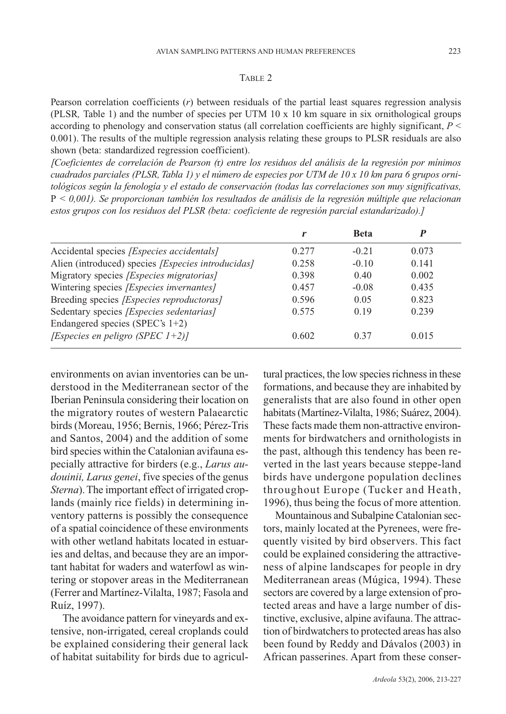#### TABLE 2

Pearson correlation coefficients (*r*) between residuals of the partial least squares regression analysis (PLSR*,* Table 1) and the number of species per UTM 10 x 10 km square in six ornithological groups according to phenology and conservation status (all correlation coefficients are highly significant, *P* < 0.001). The results of the multiple regression analysis relating these groups to PLSR residuals are also shown (beta: standardized regression coefficient).

*[Coeficientes de correlación de Pearson (*r*) entre los residuos del análisis de la regresión por mínimos cuadrados parciales (PLSR, Tabla 1) y el número de especies por UTM de 10 x 10 km para 6 grupos ornitológicos según la fenología y el estado de conservación (todas las correlaciones son muy significativas,* P *< 0,001). Se proporcionan también los resultados de análisis de la regresión múltiple que relacionan estos grupos con los residuos del PLSR (beta: coeficiente de regresión parcial estandarizado).]*

|                                                    |       | <b>Beta</b> |       |
|----------------------------------------------------|-------|-------------|-------|
| Accidental species <i>[Especies accidentals]</i>   | 0.277 | $-0.21$     | 0.073 |
| Alien (introduced) species [Especies introducidas] | 0.258 | $-0.10$     | 0.141 |
| Migratory species [Especies migratorias]           | 0.398 | 0.40        | 0.002 |
| Wintering species [Especies invernantes]           | 0.457 | $-0.08$     | 0.435 |
| Breeding species [Especies reproductoras]          | 0.596 | 0.05        | 0.823 |
| Sedentary species [Especies sedentarias]           | 0.575 | 0.19        | 0.239 |
| Endangered species (SPEC's $1+2$ )                 |       |             |       |
| [Especies en peligro (SPEC $1+2$ )]                | 0.602 | 0.37        | 0.015 |

environments on avian inventories can be understood in the Mediterranean sector of the Iberian Peninsula considering their location on the migratory routes of western Palaearctic birds (Moreau, 1956; Bernis, 1966; Pérez-Tris and Santos, 2004) and the addition of some bird species within the Catalonian avifauna especially attractive for birders (e.g., *Larus audouinii, Larus genei*, five species of the genus *Sterna*). The important effect of irrigated croplands (mainly rice fields) in determining inventory patterns is possibly the consequence of a spatial coincidence of these environments with other wetland habitats located in estuaries and deltas, and because they are an important habitat for waders and waterfowl as wintering or stopover areas in the Mediterranean (Ferrer and Martínez-Vilalta, 1987; Fasola and Ruíz, 1997).

The avoidance pattern for vineyards and extensive, non-irrigated, cereal croplands could be explained considering their general lack of habitat suitability for birds due to agricultural practices, the low species richness in these formations, and because they are inhabited by generalists that are also found in other open habitats (Martínez-Vilalta, 1986; Suárez, 2004). These facts made them non-attractive environments for birdwatchers and ornithologists in the past, although this tendency has been reverted in the last years because steppe-land birds have undergone population declines throughout Europe (Tucker and Heath, 1996), thus being the focus of more attention.

Mountainous and Subalpine Catalonian sectors, mainly located at the Pyrenees, were frequently visited by bird observers. This fact could be explained considering the attractiveness of alpine landscapes for people in dry Mediterranean areas (Múgica, 1994). These sectors are covered by a large extension of protected areas and have a large number of distinctive, exclusive, alpine avifauna. The attraction of birdwatchers to protected areas has also been found by Reddy and Dávalos (2003) in African passerines. Apart from these conser-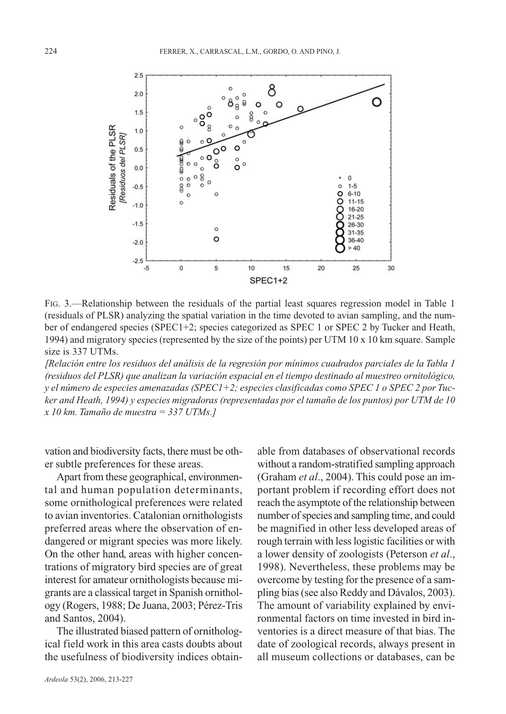

FIG. 3.—Relationship between the residuals of the partial least squares regression model in Table 1 (residuals of PLSR) analyzing the spatial variation in the time devoted to avian sampling, and the number of endangered species (SPEC1+2; species categorized as SPEC 1 or SPEC 2 by Tucker and Heath, 1994) and migratory species (represented by the size of the points) per UTM 10 x 10 km square. Sample size is 337 UTMs.

*[Relación entre los residuos del análisis de la regresión por mínimos cuadrados parciales de la Tabla 1 (residuos del PLSR) que analizan la variación espacial en el tiempo destinado al muestreo ornitológico, y el número de especies amenazadas (SPEC1+2; especies clasificadas como SPEC 1 o SPEC 2 por Tucker and Heath, 1994) y especies migradoras (representadas por el tamaño de los puntos) por UTM de 10 x 10 km. Tamaño de muestra = 337 UTMs.]*

vation and biodiversity facts, there must be other subtle preferences for these areas.

Apart from these geographical, environmental and human population determinants, some ornithological preferences were related to avian inventories. Catalonian ornithologists preferred areas where the observation of endangered or migrant species was more likely. On the other hand, areas with higher concentrations of migratory bird species are of great interest for amateur ornithologists because migrants are a classical target in Spanish ornithology (Rogers, 1988; De Juana, 2003; Pérez-Tris and Santos, 2004).

The illustrated biased pattern of ornithological field work in this area casts doubts about the usefulness of biodiversity indices obtain-

*Ardeola* 53(2), 2006, 213-227

able from databases of observational records without a random-stratified sampling approach (Graham *et al*., 2004). This could pose an important problem if recording effort does not reach the asymptote of the relationship between number of species and sampling time, and could be magnified in other less developed areas of rough terrain with less logistic facilities or with a lower density of zoologists (Peterson *et al*., 1998). Nevertheless, these problems may be overcome by testing for the presence of a sampling bias (see also Reddy and Dávalos, 2003). The amount of variability explained by environmental factors on time invested in bird inventories is a direct measure of that bias. The date of zoological records, always present in all museum collections or databases, can be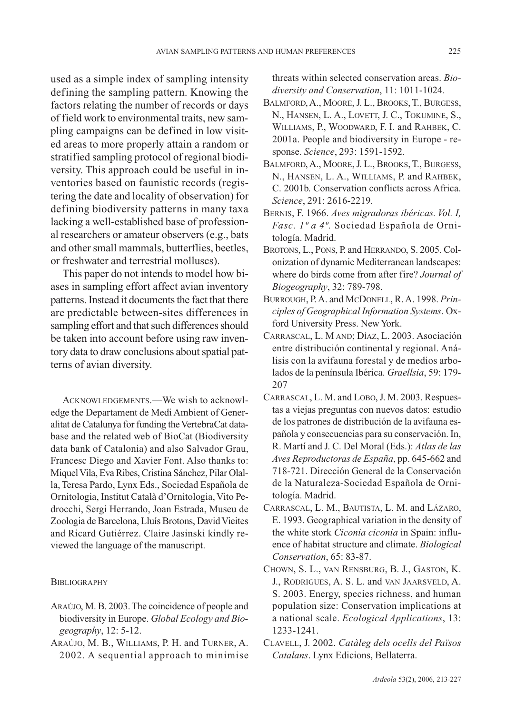used as a simple index of sampling intensity defining the sampling pattern. Knowing the factors relating the number of records or days of field work to environmental traits, new sampling campaigns can be defined in low visited areas to more properly attain a random or stratified sampling protocol of regional biodiversity. This approach could be useful in inventories based on faunistic records (registering the date and locality of observation) for defining biodiversity patterns in many taxa lacking a well-established base of professional researchers or amateur observers (e.g., bats and other small mammals, butterflies, beetles, or freshwater and terrestrial molluscs).

This paper do not intends to model how biases in sampling effort affect avian inventory patterns. Instead it documents the fact that there are predictable between-sites differences in sampling effort and that such differences should be taken into account before using raw inventory data to draw conclusions about spatial patterns of avian diversity.

ACKNOWLEDGEMENTS.—We wish to acknowledge the Departament de Medi Ambient of Generalitat de Catalunya for funding the VertebraCat database and the related web of BioCat (Biodiversity data bank of Catalonia) and also Salvador Grau, Francesc Diego and Xavier Font. Also thanks to: Miquel Vila, Eva Ribes, Cristina Sánchez, Pilar Olalla, Teresa Pardo, Lynx Eds., Sociedad Española de Ornitologia, Institut Català d'Ornitologia, Vito Pedrocchi, Sergi Herrando, Joan Estrada, Museu de Zoologia de Barcelona, Lluís Brotons, David Vieites and Ricard Gutiérrez. Claire Jasinski kindly reviewed the language of the manuscript.

#### **BIBLIOGRAPHY**

- ARAÚJO, M. B. 2003. The coincidence of people and biodiversity in Europe. *Global Ecology and Biogeography*, 12: 5-12.
- ARAÚJO, M. B., WILLIAMS, P. H. and TURNER, A. 2002. A sequential approach to minimise

threats within selected conservation areas. *Biodiversity and Conservation*, 11: 1011-1024.

- BALMFORD, A., MOORE, J. L., BROOKS, T., BURGESS, N., HANSEN, L. A., LOVETT, J. C., TOKUMINE, S., WILLIAMS, P., WOODWARD, F. I. and RAHBEK, C. 2001a. People and biodiversity in Europe - response. *Science*, 293: 1591-1592.
- BALMFORD, A., MOORE, J. L., BROOKS, T., BURGESS, N., HANSEN, L. A., WILLIAMS, P. and RAHBEK, C. 2001b. Conservation conflicts across Africa. *Science*, 291: 2616-2219.
- BERNIS, F. 1966. *Aves migradoras ibéricas. Vol. I, Fasc. 1º a 4º.* Sociedad Española de Ornitología. Madrid.
- BROTONS, L., PONS, P. and HERRANDO, S. 2005. Colonization of dynamic Mediterranean landscapes: where do birds come from after fire? *Journal of Biogeography*, 32: 789-798.
- BURROUGH, P. A. and MCDONELL, R. A. 1998. *Principles of Geographical Information Systems*. Oxford University Press. New York.
- CARRASCAL, L. M AND; DÍAZ, L. 2003. Asociación entre distribución continental y regional. Análisis con la avifauna forestal y de medios arbolados de la península Ibérica. *Graellsia*, 59: 179- 207
- CARRASCAL, L. M. and LOBO, J. M. 2003. Respuestas a viejas preguntas con nuevos datos: estudio de los patrones de distribución de la avifauna española y consecuencias para su conservación. In, R. Martí and J. C. Del Moral (Eds.): *Atlas de las Aves Reproductoras de España*, pp. 645-662 and 718-721. Dirección General de la Conservación de la Naturaleza-Sociedad Española de Ornitología. Madrid.
- CARRASCAL, L. M., BAUTISTA, L. M. and LÁZARO, E. 1993. Geographical variation in the density of the white stork *Ciconia ciconia* in Spain: influence of habitat structure and climate. *Biological Conservation*, 65: 83-87.
- CHOWN, S. L., VAN RENSBURG, B. J., GASTON, K. J., RODRIGUES, A. S. L. and VAN JAARSVELD, A. S. 2003. Energy, species richness, and human population size: Conservation implications at a national scale. *Ecological Applications*, 13: 1233-1241.
- CLAVELL, J. 2002. *Catàleg dels ocells del Països Catalans*. Lynx Edicions, Bellaterra.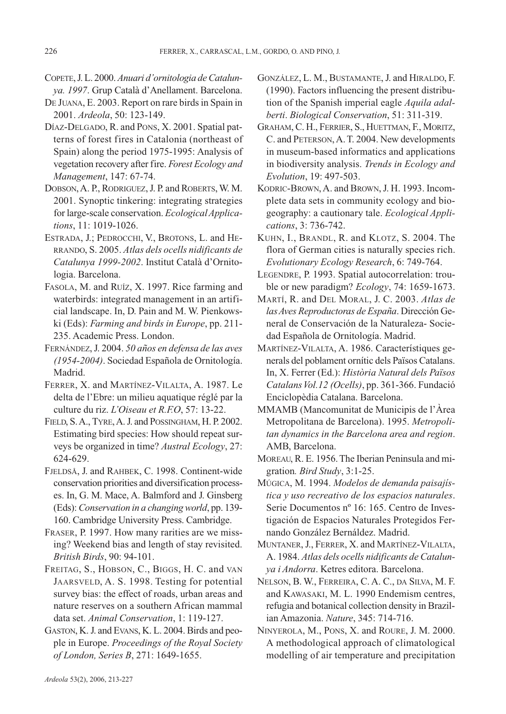- COPETE, J. L. 2000. *Anuari d'ornitologia de Catalunya. 1997*. Grup Català d'Anellament. Barcelona.
- DE JUANA, E. 2003. Report on rare birds in Spain in 2001. *Ardeola*, 50: 123-149.
- DÍAZ-DELGADO, R. and PONS, X. 2001. Spatial patterns of forest fires in Catalonia (northeast of Spain) along the period 1975-1995: Analysis of vegetation recovery after fire. *Forest Ecology and Management*, 147: 67-74.
- DOBSON,A. P., RODRIGUEZ, J. P. and ROBERTS, W. M. 2001. Synoptic tinkering: integrating strategies for large-scale conservation. *Ecological Applications*, 11: 1019-1026.
- ESTRADA, J.; PEDROCCHI, V., BROTONS, L. and HE-RRANDO, S. 2005. *Atlas dels ocells nidificants de Catalunya 1999-2002*. Institut Català d'Ornitologia. Barcelona.
- FASOLA, M. and RUÍZ, X. 1997. Rice farming and waterbirds: integrated management in an artificial landscape. In, D. Pain and M. W. Pienkowski (Eds): *Farming and birds in Europe*, pp. 211- 235. Academic Press. London.
- FERNÁNDEZ,J. 2004. *50 años en defensa de las aves (1954-2004)*. Sociedad Española de Ornitología. Madrid.
- FERRER, X. and MARTÍNEZ-VILALTA, A. 1987. Le delta de l'Ebre: un milieu aquatique réglé par la culture du riz. *L'Oiseau et R.F.O*, 57: 13-22.
- FIELD, S. A., TYRE, A. J. and POSSINGHAM, H. P. 2002. Estimating bird species: How should repeat surveys be organized in time? *Austral Ecology*, 27: 624-629.
- FJELDSÅ, J. and RAHBEK, C. 1998. Continent-wide conservation priorities and diversification processes. In, G. M. Mace, A. Balmford and J. Ginsberg (Eds): *Conservation in a changing world*, pp. 139- 160. Cambridge University Press. Cambridge.
- FRASER, P. 1997. How many rarities are we missing? Weekend bias and length of stay revisited. *British Birds*, 90: 94-101.
- FREITAG, S., HOBSON, C., BIGGS, H. C. and VAN JAARSVELD, A. S. 1998. Testing for potential survey bias: the effect of roads, urban areas and nature reserves on a southern African mammal data set. *Animal Conservation*, 1: 119-127.
- GASTON, K. J. and EVANS, K. L. 2004. Birds and people in Europe. *Proceedings of the Royal Society of London, Series B*, 271: 1649-1655.
- GONZÁLEZ, L. M., BUSTAMANTE, J. and HIRALDO, F. (1990). Factors influencing the present distribution of the Spanish imperial eagle *Aquila adalberti*. *Biological Conservation*, 51: 311-319.
- GRAHAM, C. H., FERRIER, S., HUETTMAN, F., MORITZ, C. and PETERSON, A. T. 2004. New developments in museum-based informatics and applications in biodiversity analysis. *Trends in Ecology and Evolution*, 19: 497-503.
- KODRIC-BROWN, A. and BROWN, J. H. 1993. Incomplete data sets in community ecology and biogeography: a cautionary tale. *Ecological Applications*, 3: 736-742.
- KUHN, I., BRANDL, R. and KLOTZ, S. 2004. The flora of German cities is naturally species rich. *Evolutionary Ecology Research*, 6: 749-764.
- LEGENDRE, P. 1993. Spatial autocorrelation: trouble or new paradigm? *Ecology*, 74: 1659-1673.
- MARTÍ, R. and DEL MORAL, J. C. 2003. *Atlas de las Aves Reproductoras de España*. Dirección General de Conservación de la Naturaleza- Sociedad Española de Ornitología. Madrid.
- MARTÍNEZ-VILALTA, A. 1986. Característiques generals del poblament ornític dels Països Catalans. In, X. Ferrer (Ed.): *Història Natural dels Països Catalans Vol.12 (Ocells)*, pp. 361-366. Fundació Enciclopèdia Catalana. Barcelona.
- MMAMB (Mancomunitat de Municipis de l'Àrea Metropolitana de Barcelona). 1995. *Metropolitan dynamics in the Barcelona area and region*. AMB, Barcelona.
- MOREAU, R. E. 1956. The Iberian Peninsula and migration*. Bird Study*, 3:1-25.
- MÚGICA, M. 1994. *Modelos de demanda paisajística y uso recreativo de los espacios naturales*. Serie Documentos nº 16: 165. Centro de Investigación de Espacios Naturales Protegidos Fernando González Bernáldez. Madrid.
- MUNTANER,J., FERRER, X. and MARTÍNEZ-VILALTA, A. 1984. *Atlas dels ocells nidificants de Catalunya i Andorra*. Ketres editora. Barcelona.
- NELSON, B. W., FERREIRA, C. A. C., DA SILVA, M. F. and KAWASAKI, M. L. 1990 Endemism centres, refugia and botanical collection density in Brazilian Amazonia. *Nature*, 345: 714-716.
- NINYEROLA, M., PONS, X. and ROURE, J. M. 2000. A methodological approach of climatological modelling of air temperature and precipitation